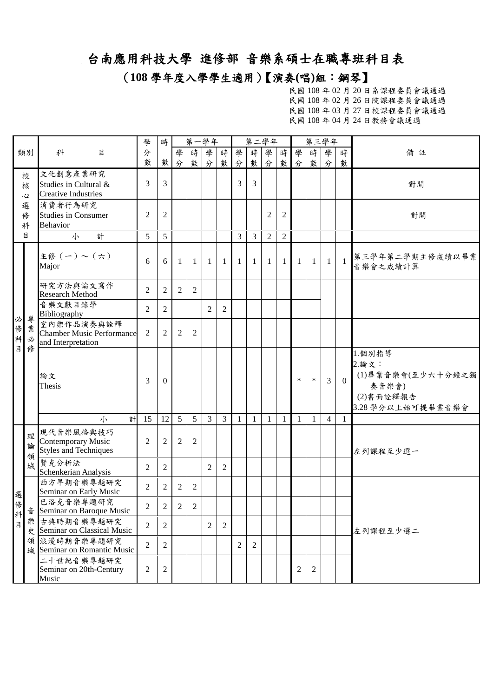(**108** 學年度入學學生適用)【演奏**(**唱**)**組:鋼琴】

|                  |              |                                                                        | 學              | 時                |                | 第一學年           |                |                |                |                | 第二學年           |                |                | 第三學年           |                |                                                                                |                             |
|------------------|--------------|------------------------------------------------------------------------|----------------|------------------|----------------|----------------|----------------|----------------|----------------|----------------|----------------|----------------|----------------|----------------|----------------|--------------------------------------------------------------------------------|-----------------------------|
|                  | 類別           | 科<br>目                                                                 | 分              |                  | 學              | 時              | 學              | 時              | 學              | 時              | 學              | 時              | 學              | 時              | 學              | 時                                                                              | 備註                          |
|                  |              |                                                                        | 數              | 數                | 分              | 數              | 分              | 數              | 分              | 數              | 分              | 數              | 分              | 數              | 分              | 數                                                                              |                             |
|                  | 校<br>核<br>心  | 文化創意產業研究<br>Studies in Cultural &<br><b>Creative Industries</b>        | 3              | 3                |                |                |                |                | 3              | 3              |                |                |                |                |                |                                                                                | 對開                          |
|                  | 選<br>修<br>科  | 消費者行為研究<br><b>Studies in Consumer</b><br><b>Behavior</b>               | $\overline{2}$ | $\overline{2}$   |                |                |                |                |                |                | $\overline{2}$ | $\overline{2}$ |                |                |                |                                                                                | 對開                          |
|                  | 目            | 小<br>計                                                                 | 5              | 5                |                |                |                |                | 3              | 3              | $\mathfrak{2}$ | $\overline{2}$ |                |                |                |                                                                                |                             |
|                  |              | 主修(一)~(六)<br>Major                                                     | 6              | 6                | $\mathbf{1}$   | $\mathbf{1}$   | -1             | $1\vert$       | $\mathbf{1}$   | -1             | $\mathbf{1}$   | $\mathbf{1}$   | 1 <sup>1</sup> | -1             | -1             | $\overline{1}$                                                                 | 第三學年第二學期主修成績以畢業<br>音樂會之成績計算 |
|                  |              | 研究方法與論文寫作<br><b>Research Method</b>                                    | 2              | $\overline{2}$   | 2              | $\overline{2}$ |                |                |                |                |                |                |                |                |                |                                                                                |                             |
| 必                | 專            | 音樂文獻目錄學<br>Bibliography                                                | 2              | $\overline{2}$   |                |                | $\mathfrak{2}$ | 2              |                |                |                |                |                |                |                |                                                                                |                             |
| 。<br>修<br>科      | 業<br>必       | 室內樂作品演奏與詮釋<br><b>Chamber Music Performance</b><br>and Interpretation   | $\overline{2}$ | $\overline{2}$   | 2              | $\overline{2}$ |                |                |                |                |                |                |                |                |                |                                                                                |                             |
| 目<br>俢           | 論文<br>Thesis | 3                                                                      | $\theta$       |                  |                |                |                |                |                |                |                | $\ast$         | $\ast$         | 3              | $\theta$       | 1.個別指導<br>2.論文:<br>(1)畢業音樂會(至少六十分鐘之獨<br>奏音樂會)<br>(2)書面詮釋報告<br>3.28學分以上始可提畢業音樂會 |                             |
|                  |              | 計<br>小                                                                 | 15             | 12               | 5 <sup>5</sup> | 5              | 3              | 3 <sup>7</sup> | 1              | -1             | 1              | -1             | $\mathbf{1}$   | 1              | $\overline{4}$ | 1                                                                              |                             |
|                  | 理<br>論<br>領  | 現代音樂風格與技巧<br><b>Contemporary Music</b><br><b>Styles and Techniques</b> | 2              | $\mathfrak{2}$   | 2              | 2              |                |                |                |                |                |                |                |                |                |                                                                                | 左列課程至少選一                    |
|                  | 域            | 賢克分析法<br>Schenkerian Analysis                                          | $\overline{2}$ | 2                |                |                | 2              | 2              |                |                |                |                |                |                |                |                                                                                |                             |
|                  |              | 西方早期音樂專題研究<br>Seminar on Early Music                                   | $\overline{2}$ | 2                | 2              | $\overline{2}$ |                |                |                |                |                |                |                |                |                |                                                                                |                             |
| 選<br>攸<br>ゅ<br>科 | 音            | 巴洛克音樂專題研究<br>Seminar on Baroque Music                                  | $\sqrt{2}$     | $2 \mid$         | $\overline{2}$ | $\sqrt{2}$     |                |                |                |                |                |                |                |                |                |                                                                                |                             |
| 目                |              | 樂古典時期音樂專題研究<br>史 Seminar on Classical Music                            | 2              | $\overline{c}$   |                |                | $\overline{2}$ | 2              |                |                |                |                |                |                |                |                                                                                | 左列課程至少選二                    |
|                  |              | 領 浪漫時期音樂專題研究<br>域 Seminar on Romantic Music                            | 2              | $\mathbf{2}$     |                |                |                |                | $\overline{2}$ | $\overline{2}$ |                |                |                |                |                |                                                                                |                             |
|                  |              | 二十世紀音樂專題研究<br>Seminar on 20th-Century<br>Music                         | $\overline{c}$ | $\boldsymbol{2}$ |                |                |                |                |                |                |                |                | 2              | $\overline{c}$ |                |                                                                                |                             |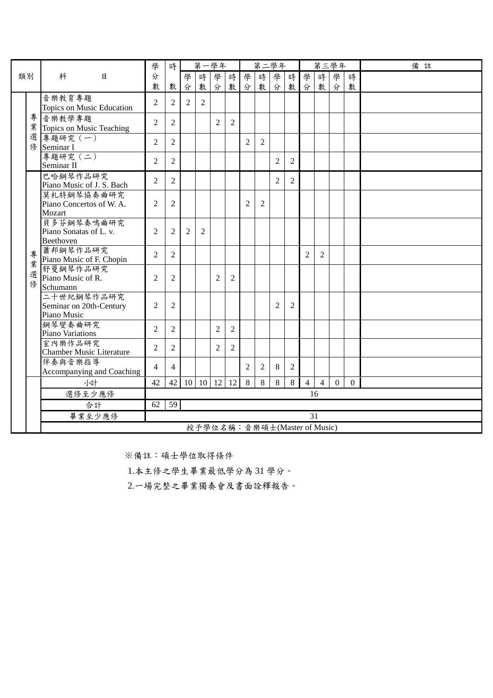|    |                                            | 學              |                | 第一學年           |                              |                   |                | 第二學年           |                |                |                |                | 第三學年           |                | 備註             |  |
|----|--------------------------------------------|----------------|----------------|----------------|------------------------------|-------------------|----------------|----------------|----------------|----------------|----------------|----------------|----------------|----------------|----------------|--|
| 類別 | 科<br>目                                     | 分              |                | 學              | 時                            | 學                 | 時              | 學              | 時              | 學              | 時              | 學              | 時              | 學              | 時              |  |
|    |                                            | 數              | 數              | 分              | 數                            | 分                 | 數              | 分              | 數              | 分              | 數              | 分              | 數              | 分              | 數              |  |
|    | 音樂教育專題                                     | $\overline{2}$ | $\overline{c}$ | $\overline{c}$ | $\overline{2}$               |                   |                |                |                |                |                |                |                |                |                |  |
|    | Topics on Music Education                  |                |                |                |                              |                   |                |                |                |                |                |                |                |                |                |  |
| 專  | 音樂教學專題                                     | $\overline{2}$ | 2              |                |                              | $\overline{2}$    | 2              |                |                |                |                |                |                |                |                |  |
| 業  | Topics on Music Teaching                   |                |                |                |                              |                   |                |                |                |                |                |                |                |                |                |  |
| 選  | 專題研究 (一)<br>修 Seminar I                    | $\overline{2}$ | $\overline{c}$ |                |                              |                   |                | $\overline{2}$ | 2              |                |                |                |                |                |                |  |
|    | 專題研究 (二)                                   |                |                |                |                              |                   |                |                |                |                |                |                |                |                |                |  |
|    | Seminar II                                 | $\overline{2}$ | 2              |                |                              |                   |                |                |                | $\overline{2}$ | $\overline{2}$ |                |                |                |                |  |
|    | 巴哈鋼琴作品研究                                   |                |                |                |                              |                   |                |                |                |                |                |                |                |                |                |  |
|    | Piano Music of J. S. Bach                  | $\overline{2}$ | 2              |                |                              |                   |                |                |                | 2              | $\overline{2}$ |                |                |                |                |  |
|    | 莫札特鋼琴協奏曲研究                                 |                |                |                |                              |                   |                |                |                |                |                |                |                |                |                |  |
|    | Piano Concertos of W.A.<br>Mozart          | 2              | 2              |                |                              |                   |                | $\overline{2}$ | $\overline{2}$ |                |                |                |                |                |                |  |
|    | 貝多芬鋼琴奏鳴曲研究                                 |                |                |                |                              |                   |                |                |                |                |                |                |                |                |                |  |
|    | Piano Sonatas of L. v.                     | $\overline{2}$ | $\overline{c}$ | 2              | $\overline{2}$               |                   |                |                |                |                |                |                |                |                |                |  |
|    | Beethoven                                  |                |                |                |                              |                   |                |                |                |                |                |                |                |                |                |  |
| 專  | 蕭邦鋼琴作品研究                                   | $\overline{2}$ | 2              |                |                              |                   |                |                |                |                |                | $\overline{2}$ | $\overline{2}$ |                |                |  |
| 業  | Piano Music of F. Chopin                   |                |                |                |                              |                   |                |                |                |                |                |                |                |                |                |  |
| 選  | 舒曼鋼琴作品研究<br>Piano Music of R.              | 2              | 2              |                |                              | $\overline{2}$    | 2              |                |                |                |                |                |                |                |                |  |
| 俢  | Schumann                                   |                |                |                |                              |                   |                |                |                |                |                |                |                |                |                |  |
|    | 二十世紀鋼琴作品研究                                 |                |                |                |                              |                   |                |                |                |                |                |                |                |                |                |  |
|    | Seminar on 20th-Century                    | $\overline{c}$ | 2              |                |                              |                   |                |                |                | $\overline{2}$ | 2              |                |                |                |                |  |
|    | Piano Music                                |                |                |                |                              |                   |                |                |                |                |                |                |                |                |                |  |
|    | 鋼琴變奏曲研究                                    | $\overline{2}$ | 2              |                |                              | $\overline{2}$    | $\overline{2}$ |                |                |                |                |                |                |                |                |  |
|    | Piano Variations                           |                |                |                |                              |                   |                |                |                |                |                |                |                |                |                |  |
|    | 室內樂作品研究<br><b>Chamber Music Literature</b> | $\overline{2}$ | $\overline{c}$ |                |                              | $\overline{2}$    | 2              |                |                |                |                |                |                |                |                |  |
|    | 伴奏與音樂指導                                    |                |                |                |                              |                   |                |                |                |                |                |                |                |                |                |  |
|    | Accompanying and Coaching                  | $\overline{4}$ | $\overline{4}$ |                |                              |                   |                | $\overline{2}$ | 2              | 8              | 2              |                |                |                |                |  |
|    | 小計                                         | 42             | 42             | 10             |                              | $10 \mid 12 \mid$ | 12             | 8              | 8              | 8              | 8              | $\overline{4}$ | $\overline{4}$ | $\overline{0}$ | $\overline{0}$ |  |
|    | 選修至少應修                                     |                |                |                |                              |                   |                |                |                |                |                | 16             |                |                |                |  |
|    | 合計                                         | 62             | 59             |                |                              |                   |                |                |                |                |                |                |                |                |                |  |
|    | 畢業至少應修                                     |                |                |                |                              |                   |                |                |                |                |                | 31             |                |                |                |  |
|    |                                            |                |                |                | 授予學位名稱:音樂碩士(Master of Music) |                   |                |                |                |                |                |                |                |                |                |  |

1.本主修之學生畢業最低學分為 31 學分。

2.一場完整之畢業獨奏會及書面詮釋報告。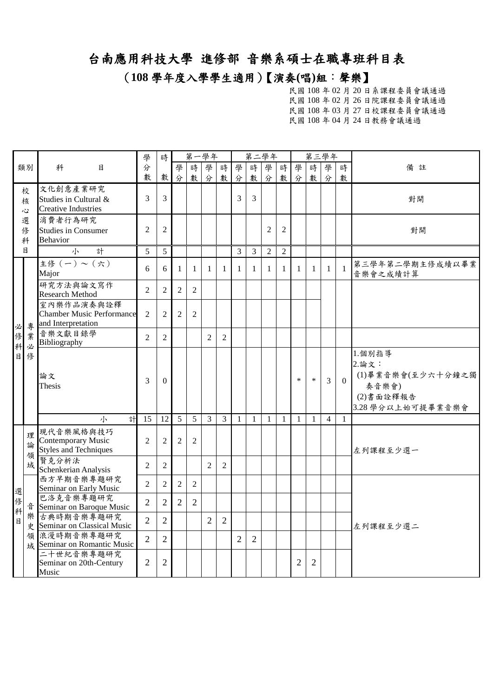(**108** 學年度入學學生適用)【演奏**(**唱**)**組:聲樂】

|                       |                  |                                                                          | 學                                | 時                                |                | 第一學年           |                |                |                |                | 第二學年           |                |                |                | 第三學年           |                                                                                |                             |
|-----------------------|------------------|--------------------------------------------------------------------------|----------------------------------|----------------------------------|----------------|----------------|----------------|----------------|----------------|----------------|----------------|----------------|----------------|----------------|----------------|--------------------------------------------------------------------------------|-----------------------------|
|                       | 類別               | 科<br>目                                                                   | 分<br>數                           | 數                                | 學<br>分         | 時<br>數         | 學<br>分         | 時<br>數         | 學<br>分         | 時<br>數         | 學<br>分         | 時<br>數         | 學<br>分         | 時<br>數         | 學<br>分         | 時<br>數                                                                         | 備註                          |
|                       | 校<br>核<br>Š,     | 文化創意產業研究<br>Studies in Cultural &<br><b>Creative Industries</b>          | 3                                | 3                                |                |                |                |                | 3              | 3              |                |                |                |                |                |                                                                                | 對開                          |
|                       | 選<br>俢<br>科      | 消費者行為研究<br><b>Studies in Consumer</b><br><b>Behavior</b>                 | $\overline{2}$                   | $\overline{2}$                   |                |                |                |                |                |                | $\overline{2}$ | $\overline{2}$ |                |                |                |                                                                                | 對開                          |
|                       | 目                | 計<br>小                                                                   | 5                                | 5                                |                |                |                |                | 3              | 3              | $\overline{2}$ | $\overline{2}$ |                |                |                |                                                                                |                             |
|                       |                  | 主修(一)~(六)<br>Major                                                       | 6                                | 6                                | $\mathbf{1}$   | $\mathbf{1}$   | $\mathbf{1}$   | $\mathbf{1}$   | $\mathbf{1}$   | 1              | $\mathbf{1}$   | 1              | $\mathbf{1}$   | $\mathbf{1}$   | $\mathbf{1}$   | $\mathbf{1}$                                                                   | 第三學年第二學期主修成績以畢業<br>音樂會之成績計算 |
|                       |                  | 研究方法與論文寫作<br><b>Research Method</b>                                      | $\overline{c}$                   | $\overline{c}$                   | $\overline{2}$ | $\overline{2}$ |                |                |                |                |                |                |                |                |                |                                                                                |                             |
| 必                     | 專                | 室內樂作品演奏與詮釋<br><b>Chamber Music Performance</b><br>and Interpretation     | $\overline{2}$                   | 2                                | $\overline{2}$ | $\overline{2}$ |                |                |                |                |                |                |                |                |                |                                                                                |                             |
|                       | 業                | 音樂文獻目錄學<br>Bibliography                                                  | $\overline{2}$                   | $\mathbf{2}$                     |                |                | $\overline{2}$ | $\mathbf{2}$   |                |                |                |                |                |                |                |                                                                                |                             |
| 修<br>科<br>必<br>修<br>目 | 論文<br>Thesis     | 3                                                                        | $\boldsymbol{0}$                 |                                  |                |                |                |                |                |                |                | $\ast$         | $\ast$         | $\overline{3}$ | $\Omega$       | 1.個別指導<br>2.論文:<br>(1)畢業音樂會(至少六十分鐘之獨<br>奏音樂會)<br>(2)書面詮釋報告<br>3.28學分以上始可提畢業音樂會 |                             |
|                       |                  | 計<br>小                                                                   | 15                               | 12                               | 5              | 5              | 3              | $\mathfrak{Z}$ | 1              | 1              | -1             | -1             | $\mathbf{1}$   | $\mathbf{1}$   | $\overline{4}$ | $\mathbf{1}$                                                                   |                             |
|                       | 理<br>論<br>領<br>域 | 現代音樂風格與技巧<br>Contemporary Music<br><b>Styles and Techniques</b><br>賢克分析法 | $\overline{2}$<br>$\overline{2}$ | $\overline{2}$<br>$\overline{2}$ | $\overline{2}$ | $\overline{2}$ | $\overline{2}$ | $\overline{2}$ |                |                |                |                |                |                |                |                                                                                | 左列課程至少選一                    |
|                       |                  | Schenkerian Analysis<br>西方早期音樂專題研究<br>Seminar on Early Music             | $\overline{2}$                   | $\overline{2}$                   | $\overline{2}$ | $\overline{2}$ |                |                |                |                |                |                |                |                |                |                                                                                |                             |
| 選修                    | 흡                | 巴洛克音樂專題研究<br>Seminar on Baroque Music                                    | $\overline{2}$                   | $\overline{2}$                   | $\overline{2}$ | $\overline{2}$ |                |                |                |                |                |                |                |                |                |                                                                                |                             |
| 科<br>目                | 樂                | 古典時期音樂專題研究<br>史 Seminar on Classical Music                               | $\overline{2}$                   | $\overline{2}$                   |                |                | $\overline{2}$ | $\overline{c}$ |                |                |                |                |                |                |                |                                                                                | 左列課程至少選二                    |
|                       |                  | 領浪漫時期音樂專題研究<br>域 Seminar on Romantic Music                               | $\overline{2}$                   | $\overline{2}$                   |                |                |                |                | $\overline{2}$ | $\overline{2}$ |                |                |                |                |                |                                                                                |                             |
|                       |                  | 二十世紀音樂專題研究<br>Seminar on 20th-Century<br>Music                           | $\overline{2}$                   | $\overline{2}$                   |                |                |                |                |                |                |                |                | $\overline{c}$ | $\overline{2}$ |                |                                                                                |                             |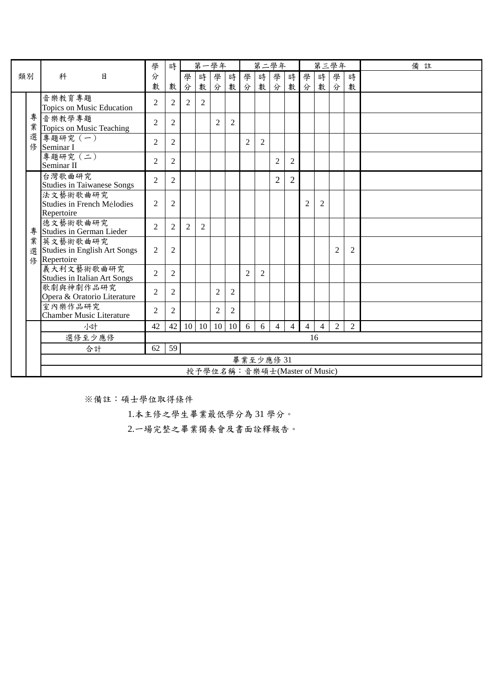|    |             |                                                               | 學              | 時              |   | 第一學年                         |                |                |                | 第二學年      |                |                |                |                | 第三學年           |                | 備註 |
|----|-------------|---------------------------------------------------------------|----------------|----------------|---|------------------------------|----------------|----------------|----------------|-----------|----------------|----------------|----------------|----------------|----------------|----------------|----|
| 類別 |             | 科<br>目                                                        | 分              |                | 學 | 時                            | 學              | 時              | 學              | 時         | 學              | 時              | 學              | 時              | 學              | 時              |    |
|    |             |                                                               | 數              | 數              | 分 | 數                            | 分              |                |                | 數 分 數     | 分              |                | 數分             | 數              | 分              | 數              |    |
|    |             | 音樂教育專題<br>Topics on Music Education                           | $\overline{2}$ | $\overline{2}$ | 2 | 2                            |                |                |                |           |                |                |                |                |                |                |    |
|    | 專           |                                                               |                |                |   |                              |                |                |                |           |                |                |                |                |                |                |    |
|    | 業           | 音樂教學專題<br>Topics on Music Teaching                            | $\overline{c}$ | $\overline{2}$ |   |                              | 2              | 2              |                |           |                |                |                |                |                |                |    |
|    | 選<br>俢      | 專題研究 (一)<br>Seminar I                                         | 2              | 2              |   |                              |                |                | $\overline{2}$ | 2         |                |                |                |                |                |                |    |
|    |             | 專題研究 (二)<br>Seminar II                                        | $\overline{2}$ | $\overline{2}$ |   |                              |                |                |                |           | $\overline{2}$ | $\overline{2}$ |                |                |                |                |    |
|    |             | 台灣歌曲研究<br><b>Studies in Taiwanese Songs</b>                   | $\overline{2}$ | $\overline{2}$ |   |                              |                |                |                |           | $\overline{2}$ | $\overline{2}$ |                |                |                |                |    |
|    |             | 法文藝術歌曲研究<br>Studies in French Mélodies<br>Repertoire          | $\overline{2}$ | $\overline{2}$ |   |                              |                |                |                |           |                |                | $\overline{2}$ | $\overline{2}$ |                |                |    |
|    | 專           | 德文藝術歌曲研究<br>Studies in German Lieder                          | 2              | $\overline{2}$ | 2 | 2                            |                |                |                |           |                |                |                |                |                |                |    |
|    | 業<br>選<br>修 | 英文藝術歌曲研究<br><b>Studies in English Art Songs</b><br>Repertoire | $\overline{2}$ | $\overline{2}$ |   |                              |                |                |                |           |                |                |                |                | $\overline{2}$ | $\overline{2}$ |    |
|    |             | 義大利文藝術歌曲研究<br><b>Studies in Italian Art Songs</b>             | $\overline{c}$ | 2              |   |                              |                |                | $\mathfrak{D}$ | 2         |                |                |                |                |                |                |    |
|    |             | 歌劇與神劇作品研究<br>Opera & Oratorio Literature                      | $\overline{2}$ | $\overline{c}$ |   |                              | $\overline{2}$ | $\overline{2}$ |                |           |                |                |                |                |                |                |    |
|    |             | 室內樂作品研究<br><b>Chamber Music Literature</b>                    | $\overline{c}$ | 2              |   |                              | $\overline{c}$ | $\overline{2}$ |                |           |                |                |                |                |                |                |    |
|    |             | 小計                                                            | 42             | 42             |   | 10 10 10                     |                | 10             | 6              | 6         | $\overline{4}$ | $\overline{4}$ | $\overline{4}$ | $\overline{4}$ | $\overline{2}$ | $\overline{2}$ |    |
|    |             | 選修至少應修                                                        |                |                |   |                              |                |                |                |           |                |                |                | 16             |                |                |    |
|    |             | 合計                                                            | 62             | 59             |   |                              |                |                |                |           |                |                |                |                |                |                |    |
|    |             |                                                               |                |                |   |                              |                |                |                | 畢業至少應修 31 |                |                |                |                |                |                |    |
|    |             |                                                               |                |                |   | 授予學位名稱:音樂碩士(Master of Music) |                |                |                |           |                |                |                |                |                |                |    |

1.本主修之學生畢業最低學分為 31 學分。

2.一場完整之畢業獨奏會及書面詮釋報告。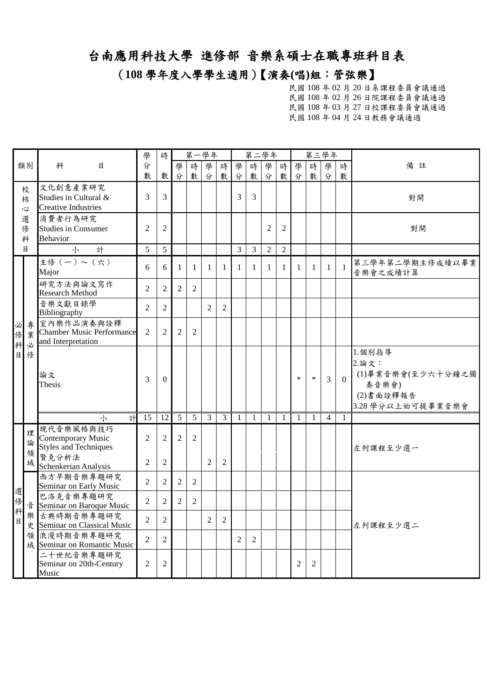#### (**108** 學年度入學學生適用)【演奏**(**唱**)**組:管弦樂】

|             |                           |                                                                      | 學              | 時                |                | 第一學年           |                |                |                | 第二學年           |                |                |                | 第三學年         |                |              |                                                                                  |
|-------------|---------------------------|----------------------------------------------------------------------|----------------|------------------|----------------|----------------|----------------|----------------|----------------|----------------|----------------|----------------|----------------|--------------|----------------|--------------|----------------------------------------------------------------------------------|
|             | 類別                        | 科<br>目                                                               | 分<br>數         | 數                | 學<br>分         | 時<br>數         | 學<br>分         | 時<br>數         | 學<br>分         | 時<br>數         | 學<br>分         | 時<br>數         | 學<br>分         | 時<br>數       | 學<br>分         | 時<br>數       | 備註                                                                               |
|             | 校<br>核<br>$\ddot{\omega}$ | 文化創意產業研究<br>Studies in Cultural &<br><b>Creative Industries</b>      | 3              | 3                |                |                |                |                | 3              | 3              |                |                |                |              |                |              | 對開                                                                               |
|             | 選<br>修<br>科               | 消費者行為研究<br><b>Studies in Consumer</b><br><b>Behavior</b>             | $\overline{2}$ | $\overline{2}$   |                |                |                |                |                |                | $\overline{c}$ | $\overline{2}$ |                |              |                |              | 對開                                                                               |
|             | 目                         | 計<br>小                                                               | 5              | 5                |                |                |                |                | 3              | $\mathfrak{Z}$ | $\overline{2}$ | $\overline{2}$ |                |              |                |              |                                                                                  |
|             |                           | 主修(一)~(六)<br>Major                                                   | 6              | 6                | $\mathbf{1}$   | $\mathbf{1}$   | 1              | 1              | $\mathbf{1}$   | $\mathbf{1}$   | $\mathbf{1}$   | $\mathbf{1}$   | $\mathbf{1}$   | $\mathbf{1}$ | $\mathbf{1}$   | $\mathbf{1}$ | 第三學年第二學期主修成績以畢業<br>音樂會之成績計算                                                      |
|             |                           | 研究方法與論文寫作<br><b>Research Method</b>                                  | $\overline{2}$ | $\overline{2}$   | $\overline{2}$ | $\overline{2}$ |                |                |                |                |                |                |                |              |                |              |                                                                                  |
|             |                           | 音樂文獻目錄學<br>Bibliography                                              | $\overline{2}$ | $\overline{2}$   |                |                | $\overline{2}$ | $\overline{2}$ |                |                |                |                |                |              |                |              |                                                                                  |
| 必<br>修<br>科 | 專<br>業<br>必               | 室內樂作品演奏與詮釋<br><b>Chamber Music Performance</b><br>and Interpretation | 2              | $\overline{c}$   | 2              | 2              |                |                |                |                |                |                |                |              |                |              |                                                                                  |
| $\sf B$     | 俢                         | 論文<br>Thesis                                                         | 3              | $\boldsymbol{0}$ |                |                |                |                |                |                |                |                | $\ast$         | $\ast$       | 3              | $\Omega$     | 1.個別指導<br>2. 論文:<br>(1)畢業音樂會(至少六十分鐘之獨<br>奏音樂會)<br>(2)書面詮釋報告<br>3.28 學分以上始可提畢業音樂會 |
|             |                           | 計<br>小                                                               | 15             | 12               | 5              | 5              | $\overline{3}$ | $\mathfrak{Z}$ | $\mathbf{1}$   | $\mathbf{1}$   | $\mathbf{1}$   | $\mathbf{1}$   | 1              | $\mathbf{1}$ | $\overline{4}$ | $\mathbf{1}$ |                                                                                  |
|             | 理<br>論<br>領               | 現代音樂風格與技巧<br>Contemporary Music<br><b>Styles and Techniques</b>      | 2              | $\overline{2}$   | 2              | $\overline{2}$ |                |                |                |                |                |                |                |              |                |              | 左列課程至少選一                                                                         |
|             | 域                         | 賢克分析法<br>Schenkerian Analysis                                        | $\overline{2}$ | $\mathfrak{2}$   |                |                | $\overline{2}$ | $\overline{2}$ |                |                |                |                |                |              |                |              |                                                                                  |
|             |                           | 西方早期音樂專題研究<br>Seminar on Early Music                                 | $\overline{2}$ | $\overline{2}$   | $\overline{2}$ | $\overline{2}$ |                |                |                |                |                |                |                |              |                |              |                                                                                  |
| 選<br>修      |                           | 巴洛克音樂專題研究<br>音 Seminar on Baroque Music                              | $\overline{2}$ | $\overline{2}$   | $\overline{2}$ | $\overline{2}$ |                |                |                |                |                |                |                |              |                |              |                                                                                  |
| 科目          |                           | 樂古典時期音樂專題研究<br>史 Seminar on Classical Music                          | $\overline{2}$ | $\mathfrak{2}$   |                |                | $\overline{2}$ | $\overline{2}$ |                |                |                |                |                |              |                |              | 左列課程至少選二                                                                         |
|             |                           | 領 浪漫時期音樂專題研究<br>域 Seminar on Romantic Music                          | $\overline{2}$ | 2                |                |                |                |                | $\overline{2}$ | $\overline{2}$ |                |                |                |              |                |              |                                                                                  |
|             |                           | 二十世紀音樂專題研究<br>Seminar on 20th-Century<br>Music                       | $\overline{2}$ | $\mathfrak 2$    |                |                |                |                |                |                |                |                | $\mathfrak{2}$ | $\mathbf{2}$ |                |              |                                                                                  |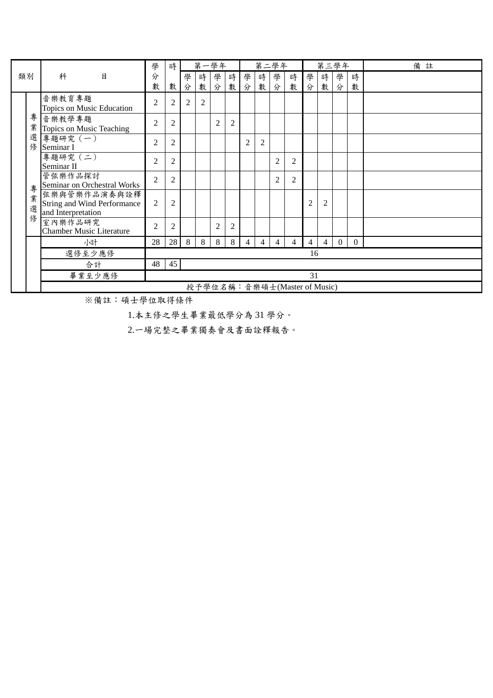|    |   |                                        | 學              | 時              |                |                | 第一學年           |                |                | 第二學年           |                |                              |                |                | 第三學年     |          | 備註 |
|----|---|----------------------------------------|----------------|----------------|----------------|----------------|----------------|----------------|----------------|----------------|----------------|------------------------------|----------------|----------------|----------|----------|----|
| 類別 |   | 科<br>目                                 | 分              |                | 學              | 時              | 學              | 時              | 學              | 時              | 學              | 時                            | 學              | 時              | 學        | 時        |    |
|    |   |                                        | 數              | 數              | 分              | 數              | 分              | 數              | 分              | 數              | 分              | 數                            | 分              | 數              | 分        | 數        |    |
|    |   | 音樂教育專題                                 | $\overline{2}$ | $\overline{2}$ | $\overline{2}$ | $\overline{2}$ |                |                |                |                |                |                              |                |                |          |          |    |
|    |   | Topics on Music Education              |                |                |                |                |                |                |                |                |                |                              |                |                |          |          |    |
|    | 專 | 音樂教學專題                                 | $\overline{2}$ | $\overline{2}$ |                |                | $\overline{2}$ | $\overline{2}$ |                |                |                |                              |                |                |          |          |    |
|    | 業 | Topics on Music Teaching               |                |                |                |                |                |                |                |                |                |                              |                |                |          |          |    |
|    | 選 | 專題研究 (一)                               | $\overline{2}$ | $\overline{2}$ |                |                |                |                | $\overline{2}$ | $\overline{c}$ |                |                              |                |                |          |          |    |
|    | 修 | Seminar I                              |                |                |                |                |                |                |                |                |                |                              |                |                |          |          |    |
|    |   | 專題研究 (二)                               | $\overline{2}$ | $\overline{c}$ |                |                |                |                |                |                | $\overline{c}$ | 2                            |                |                |          |          |    |
|    |   | Seminar II                             |                |                |                |                |                |                |                |                |                |                              |                |                |          |          |    |
|    |   | 管弦樂作品探討<br>Seminar on Orchestral Works | $\overline{c}$ | $\overline{2}$ |                |                |                |                |                |                | $\overline{2}$ | $\overline{2}$               |                |                |          |          |    |
|    | 專 | 弦樂與管樂作品演奏與詮釋                           |                |                |                |                |                |                |                |                |                |                              |                |                |          |          |    |
|    | 業 | <b>String and Wind Performance</b>     | 2              | $\overline{2}$ |                |                |                |                |                |                |                |                              | $\overline{c}$ | $\overline{2}$ |          |          |    |
|    | 選 | and Interpretation                     |                |                |                |                |                |                |                |                |                |                              |                |                |          |          |    |
|    | 俢 | 室內樂作品研究                                | $\overline{2}$ | $\overline{2}$ |                |                | $\overline{2}$ | $\overline{2}$ |                |                |                |                              |                |                |          |          |    |
|    |   | <b>Chamber Music Literature</b>        |                |                |                |                |                |                |                |                |                |                              |                |                |          |          |    |
|    |   | 小計                                     | 28             | 28             | 8              | 8              | 8              | 8              | 4              | $\overline{4}$ | 4              | 4                            | 4              | $\overline{4}$ | $\theta$ | $\Omega$ |    |
|    |   | 選修至少應修                                 |                |                |                |                |                |                |                |                |                |                              | 16             |                |          |          |    |
|    |   | 合計                                     | 48             | 45             |                |                |                |                |                |                |                |                              |                |                |          |          |    |
|    |   | 畢業至少應修                                 |                |                |                |                |                |                |                |                |                |                              | 31             |                |          |          |    |
|    |   |                                        |                |                |                |                |                |                |                |                |                | 授予學位名稱:音樂碩士(Master of Music) |                |                |          |          |    |

1.本主修之學生畢業最低學分為 31 學分。

2.一場完整之畢業獨奏會及書面詮釋報告。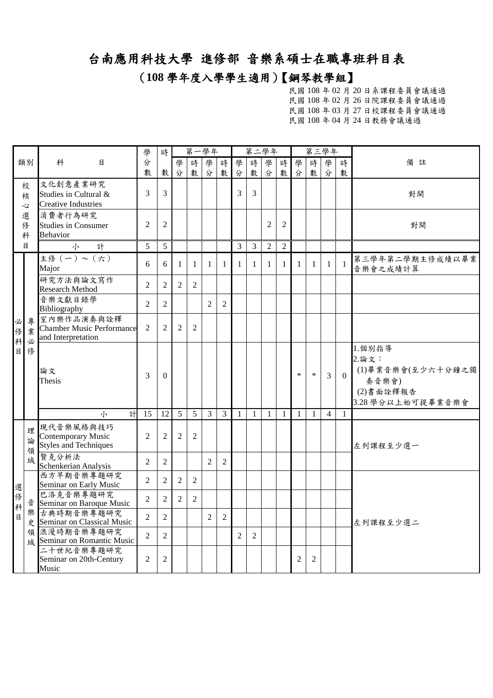#### (**108** 學年度入學學生適用)【鋼琴教學組】

|              |                                |                                                                        | 學              | 時              |                | 第一學年           |                |                |                | 第二學年           |                |                |                | 第三學年           |                |              |                                                                                 |
|--------------|--------------------------------|------------------------------------------------------------------------|----------------|----------------|----------------|----------------|----------------|----------------|----------------|----------------|----------------|----------------|----------------|----------------|----------------|--------------|---------------------------------------------------------------------------------|
|              | 類別                             | 科<br>目                                                                 | 分<br>數         | 數              | 學<br>分         | 時<br>數         | 學<br>分         | 時<br>數         | 學<br>分         | 時<br>數         | 學<br>分         | 時<br>數         | 學<br>分         | 時<br>數         | 學<br>分         | 時<br>數       | 備註                                                                              |
|              | 校<br>核<br>$\ddot{\bm{\omega}}$ | 文化創意產業研究<br>Studies in Cultural &<br><b>Creative Industries</b>        | 3              | 3              |                |                |                |                | 3              | $\overline{3}$ |                |                |                |                |                |              | 對開                                                                              |
|              | 選<br>俢<br>科                    | 消費者行為研究<br><b>Studies in Consumer</b><br><b>Behavior</b>               | $\overline{2}$ | $\overline{c}$ |                |                |                |                |                |                | $\overline{2}$ | $\overline{2}$ |                |                |                |              | 對開                                                                              |
|              | 目                              | 計<br>小                                                                 | 5              | 5              |                |                |                |                | 3              | $\mathfrak{Z}$ | $\overline{2}$ | $\sqrt{2}$     |                |                |                |              |                                                                                 |
|              |                                | 主修 $(-)\sim (\overline{\stackrel{+}{\cdot}})$<br>Major                 | 6              | 6              | 1              | $\mathbf{1}$   | $\mathbf{1}$   | -1             | $\mathbf{1}$   | $\mathbf{1}$   | $\mathbf{1}$   | 1              | $\mathbf{1}$   | 1              | $\mathbf{1}$   | $\mathbf{1}$ | 第三學年第二學期主修成績以畢業<br>音樂會之成績計算                                                     |
|              |                                | 研究方法與論文寫作<br>Research Method                                           | $\overline{2}$ | $\overline{2}$ | $\overline{2}$ | $\overline{2}$ |                |                |                |                |                |                |                |                |                |              |                                                                                 |
|              |                                | 音樂文獻目錄學<br>Bibliography                                                | $\overline{2}$ | $\overline{2}$ |                |                | $\overline{2}$ | $\mathbf{2}$   |                |                |                |                |                |                |                |              |                                                                                 |
| 必<br>俢       | 專<br>業                         | 室內樂作品演奏與詮釋<br><b>Chamber Music Performance</b><br>and Interpretation   | $\overline{2}$ | $\overline{2}$ | 2              | $\overline{2}$ |                |                |                |                |                |                |                |                |                |              |                                                                                 |
| 科<br>必<br>目  | 俢                              | 論文<br>Thesis                                                           | 3              | $\mathbf{0}$   |                |                |                |                |                |                |                |                | $\ast$         | $\ast$         | 3              | $\Omega$     | 1.個別指導<br>2.論文:<br>(1)畢業音樂會(至少六十分鐘之獨<br>奏音樂會)<br>(2)書面詮釋報告<br>3.28 學分以上始可提畢業音樂會 |
|              |                                | 計<br>小                                                                 | 15             | 12             | 5              | 5              | $\overline{3}$ | $\mathfrak{Z}$ | $\mathbf{1}$   | $\mathbf{1}$   | $\mathbf{1}$   | $\mathbf{1}$   | $\mathbf{1}$   | $\overline{1}$ | $\overline{4}$ | $\mathbf{1}$ |                                                                                 |
|              | 理<br>論<br>領                    | 現代音樂風格與技巧<br><b>Contemporary Music</b><br><b>Styles and Techniques</b> | $\overline{2}$ | $\overline{2}$ | $\overline{2}$ | $\overline{2}$ |                |                |                |                |                |                |                |                |                |              | 左列課程至少選一                                                                        |
|              | 域                              | 賢克分析法<br>Schenkerian Analysis                                          | $\overline{2}$ | $\mathfrak{2}$ |                |                | $\overline{2}$ | $\overline{2}$ |                |                |                |                |                |                |                |              |                                                                                 |
|              |                                | 西方早期音樂專題研究<br>Seminar on Early Music                                   | $\overline{2}$ | $\mathfrak{2}$ | $\overline{2}$ | $\overline{2}$ |                |                |                |                |                |                |                |                |                |              |                                                                                 |
| 選<br>俢<br>科  |                                | 巴洛克音樂專題研究<br>音 Seminar on Baroque Music                                | $\overline{2}$ | $\overline{2}$ | $\overline{2}$ | $\overline{2}$ |                |                |                |                |                |                |                |                |                |              |                                                                                 |
| $\mathbf{B}$ | 樂                              | 古典時期音樂專題研究<br>史 Seminar on Classical Music                             | $\overline{2}$ | $\overline{2}$ |                |                | $\overline{2}$ | $\overline{2}$ |                |                |                |                |                |                |                |              | 左列課程至少選二                                                                        |
|              |                                | 領浪漫時期音樂專題研究<br>域 Seminar on Romantic Music                             | $\overline{2}$ | $\overline{2}$ |                |                |                |                | $\overline{2}$ | $\overline{2}$ |                |                |                |                |                |              |                                                                                 |
|              |                                | 二十世紀音樂專題研究<br>Seminar on 20th-Century<br>Music                         | $\overline{2}$ | $\overline{2}$ |                |                |                |                |                |                |                |                | $\overline{2}$ | $\overline{c}$ |                |              |                                                                                 |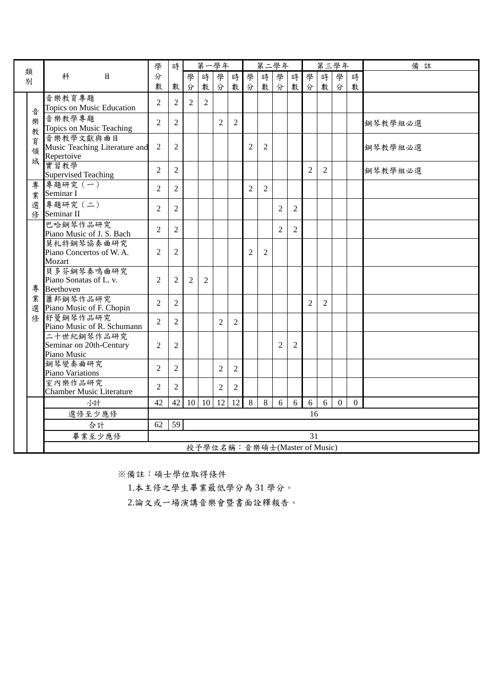| 類 |             |                                                          | 學              | 時              |                |                | 第一學年           |                |                | 第二學年                         |                |                |                |                | 第三學年     |          | 備註      |
|---|-------------|----------------------------------------------------------|----------------|----------------|----------------|----------------|----------------|----------------|----------------|------------------------------|----------------|----------------|----------------|----------------|----------|----------|---------|
| 別 |             | 月<br>科                                                   | 分              |                | 學              | 時              | 學              | 時              | 學              | 時                            | 學              | 時              | 學              | 時              | 學        | 時        |         |
|   |             |                                                          | 數              | 數              | 分              | 數              | 分              | 數              | 分              | 數                            | 分              | 數              | 分              | 數              | 分        | 數        |         |
|   | 音           | 音樂教育專題<br>Topics on Music Education                      | $\overline{2}$ | $\overline{2}$ | 2              | 2              |                |                |                |                              |                |                |                |                |          |          |         |
|   | 樂<br>教      | 音樂教學專題<br>Topics on Music Teaching                       | $\overline{2}$ | $\overline{2}$ |                |                | 2              | 2              |                |                              |                |                |                |                |          |          | 鋼琴教學組必選 |
|   | 育<br>領<br>域 | 音樂教學文獻與曲目<br>Music Teaching Literature and<br>Repertoive | $\overline{2}$ | $\overline{2}$ |                |                |                |                | 2              | 2                            |                |                |                |                |          |          | 鋼琴教學組必選 |
|   |             | 實習教學<br><b>Supervised Teaching</b>                       | $\overline{2}$ | $\overline{2}$ |                |                |                |                |                |                              |                |                | $\overline{c}$ | 2              |          |          | 鋼琴教學組必選 |
|   | 專<br>業      | 專題研究 (一)<br>Seminar I                                    | $\overline{2}$ | $\overline{2}$ |                |                |                |                | 2              | $\overline{2}$               |                |                |                |                |          |          |         |
|   | 選<br>修      | 專題研究 (二)<br>Seminar II                                   | $\overline{2}$ | $\overline{2}$ |                |                |                |                |                |                              | 2              | $\overline{2}$ |                |                |          |          |         |
|   |             | 巴哈鋼琴作品研究<br>Piano Music of J. S. Bach                    | $\overline{2}$ | $\overline{2}$ |                |                |                |                |                |                              | $\overline{2}$ | $\overline{2}$ |                |                |          |          |         |
|   |             | 莫札特鋼琴協奏曲研究<br>Piano Concertos of W.A.<br>Mozart          | 2              | $\overline{2}$ |                |                |                |                | $\overline{c}$ | 2                            |                |                |                |                |          |          |         |
|   | 專           | 貝多芬鋼琴奏鳴曲研究<br>Piano Sonatas of L. v.<br>Beethoven        | $\overline{2}$ | $\overline{2}$ | $\mathfrak{D}$ | $\overline{2}$ |                |                |                |                              |                |                |                |                |          |          |         |
|   | 業<br>選      | 蕭邦鋼琴作品研究<br>Piano Music of F. Chopin                     | $\overline{2}$ | $\overline{2}$ |                |                |                |                |                |                              |                |                | 2              | $\overline{2}$ |          |          |         |
|   | 俢           | 舒曼鋼琴作品研究<br>Piano Music of R. Schumann                   | $\overline{2}$ | $\overline{2}$ |                |                | $\mathfrak{D}$ | $\overline{2}$ |                |                              |                |                |                |                |          |          |         |
|   |             | 二十世紀鋼琴作品研究<br>Seminar on 20th-Century<br>Piano Music     | $\overline{2}$ | $\overline{2}$ |                |                |                |                |                |                              | 2              | $\overline{2}$ |                |                |          |          |         |
|   |             | 鋼琴變奏曲研究<br>Piano Variations                              | $\overline{2}$ | $\overline{2}$ |                |                | $\overline{2}$ | 2              |                |                              |                |                |                |                |          |          |         |
|   |             | 室內樂作品研究<br><b>Chamber Music Literature</b>               | $\overline{c}$ | $\overline{2}$ |                |                | $\overline{c}$ | 2              |                |                              |                |                |                |                |          |          |         |
|   |             | 小計                                                       | 42             | 42             | 10             | 10             | 12             | 12             | 8              | 8                            | 6              | 6              | 6              | 6              | $\theta$ | $\Omega$ |         |
|   |             | 選修至少應修                                                   |                |                |                |                |                |                |                |                              |                |                | 16             |                |          |          |         |
|   |             | 合計                                                       | 62             | 59             |                |                |                |                |                |                              |                |                |                |                |          |          |         |
|   |             | 畢業至少應修                                                   |                |                |                |                |                |                |                |                              |                |                | 31             |                |          |          |         |
|   |             |                                                          |                |                |                |                |                |                |                | 授予學位名稱:音樂碩士(Master of Music) |                |                |                |                |          |          |         |

1.本主修之學生畢業最低學分為 31 學分。

2.論文或一場演講音樂會暨書面詮釋報告。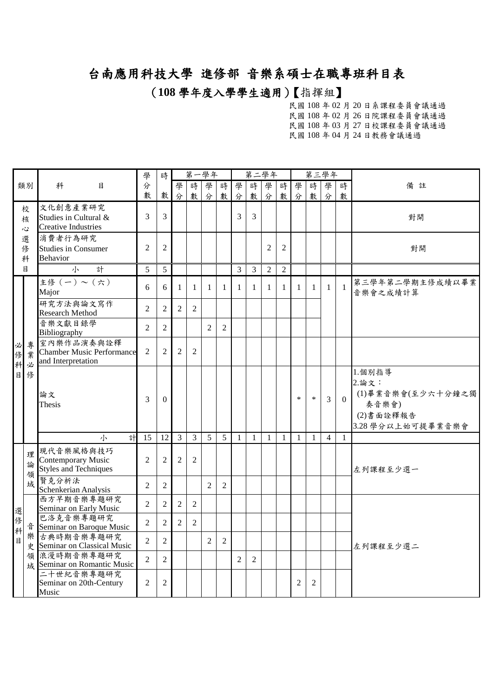#### (**108** 學年度入學學生適用)【指揮組】

|             |              |                                                                      | 學              | 時              |                | 第一學年           |                |                |                | 第二學年           |                |                |                |                | 第三學年           |              |                                                                                 |
|-------------|--------------|----------------------------------------------------------------------|----------------|----------------|----------------|----------------|----------------|----------------|----------------|----------------|----------------|----------------|----------------|----------------|----------------|--------------|---------------------------------------------------------------------------------|
|             | 類別           | 科<br>目                                                               | 分<br>數         | 數              | 學<br>分         | 時<br>數         | 學<br>分         | 時<br>數         | 學<br>分         | 時<br>數         | 學<br>分         | 時<br>數         | 學<br>分         | 時<br>數         | 學<br>分         | 時<br>數       | 備註                                                                              |
|             | 校<br>核<br>Š, | 文化創意產業研究<br>Studies in Cultural &<br><b>Creative Industries</b>      | 3              | 3              |                |                |                |                | $\overline{3}$ | 3              |                |                |                |                |                |              | 對開                                                                              |
|             | 選<br>修<br>科  | 消費者行為研究<br><b>Studies in Consumer</b><br><b>Behavior</b>             | $\overline{2}$ | $\overline{2}$ |                |                |                |                |                |                | $\overline{2}$ | $\overline{2}$ |                |                |                |              | 對開                                                                              |
|             | 目            | 小<br>計                                                               | 5              | 5              |                |                |                |                | 3              | $\overline{3}$ | $\overline{2}$ | $\overline{2}$ |                |                |                |              |                                                                                 |
|             |              | 主修(一)~(六)<br>Major                                                   | 6              | 6              | $\mathbf{1}$   | $\mathbf{1}$   | $\mathbf{1}$   | -1             | $\mathbf{1}$   | $\mathbf{1}$   | $\mathbf{1}$   | 1              | $\mathbf{1}$   | -1             | $\mathbf{1}$   | $\mathbf{1}$ | 第三學年第二學期主修成績以畢業<br>音樂會之成績計算                                                     |
|             |              | 研究方法與論文寫作<br><b>Research Method</b>                                  | $\overline{2}$ | $\mathfrak{2}$ | $\overline{2}$ | $\overline{2}$ |                |                |                |                |                |                |                |                |                |              |                                                                                 |
|             |              | 音樂文獻目錄學<br>Bibliography                                              | $\overline{2}$ | $\overline{2}$ |                |                | 2              | 2              |                |                |                |                |                |                |                |              |                                                                                 |
| 必<br>俢<br>科 | 專<br>業<br>必  | 室內樂作品演奏與詮釋<br><b>Chamber Music Performance</b><br>and Interpretation | $\overline{2}$ | $\overline{2}$ | 2              | $\overline{2}$ |                |                |                |                |                |                |                |                |                |              |                                                                                 |
| 目           | 俢            | 論文<br>Thesis                                                         | 3              | $\Omega$       |                |                |                |                |                |                |                |                | $\ast$         | $\ast$         | 3              | $\Omega$     | 1.個別指導<br>2.論文:<br>(1)畢業音樂會(至少六十分鐘之獨<br>奏音樂會)<br>(2)書面詮釋報告<br>3.28 學分以上始可提畢業音樂會 |
|             |              | 計<br>小                                                               | 15             | 12             | $\mathfrak{Z}$ | $\overline{3}$ | 5              | 5              | $\mathbf{1}$   | $\mathbf{1}$   | $\mathbf{1}$   | $\mathbf{1}$   | $\mathbf{1}$   | 1              | $\overline{4}$ | -1           |                                                                                 |
|             | 理<br>論<br>領  | 現代音樂風格與技巧<br>Contemporary Music<br><b>Styles and Techniques</b>      | $\overline{2}$ | $\overline{2}$ | $\overline{2}$ | $\overline{2}$ |                |                |                |                |                |                |                |                |                |              | 左列課程至少選一                                                                        |
|             | 域            | 賢克分析法<br>Schenkerian Analysis                                        | $\overline{2}$ | $\overline{2}$ |                |                | $\overline{2}$ | $\overline{2}$ |                |                |                |                |                |                |                |              |                                                                                 |
| 選           |              | 西方早期音樂專題研究<br>Seminar on Early Music                                 | $\overline{2}$ | $\overline{2}$ | $\overline{2}$ | $\overline{2}$ |                |                |                |                |                |                |                |                |                |              |                                                                                 |
| 俢<br>科      | 흡            | 巴洛克音樂專題研究<br>Seminar on Baroque Music                                | $\overline{2}$ | $\overline{2}$ | $\overline{2}$ | $\overline{2}$ |                |                |                |                |                |                |                |                |                |              |                                                                                 |
| 目           | 樂            | 古典時期音樂專題研究<br>史 Seminar on Classical Music                           | $\overline{2}$ | $\overline{2}$ |                |                | $\overline{2}$ | $\sqrt{2}$     |                |                |                |                |                |                |                |              | 左列課程至少選二                                                                        |
|             |              | 領浪漫時期音樂專題研究<br>域 Seminar on Romantic Music                           | $\overline{2}$ | $\sqrt{2}$     |                |                |                |                | $\overline{c}$ | $\overline{2}$ |                |                |                |                |                |              |                                                                                 |
|             |              | 二十世紀音樂專題研究<br>Seminar on 20th-Century<br>Music                       | $\mathbf{2}$   | $\mathfrak{2}$ |                |                |                |                |                |                |                |                | $\overline{c}$ | $\overline{c}$ |                |              |                                                                                 |